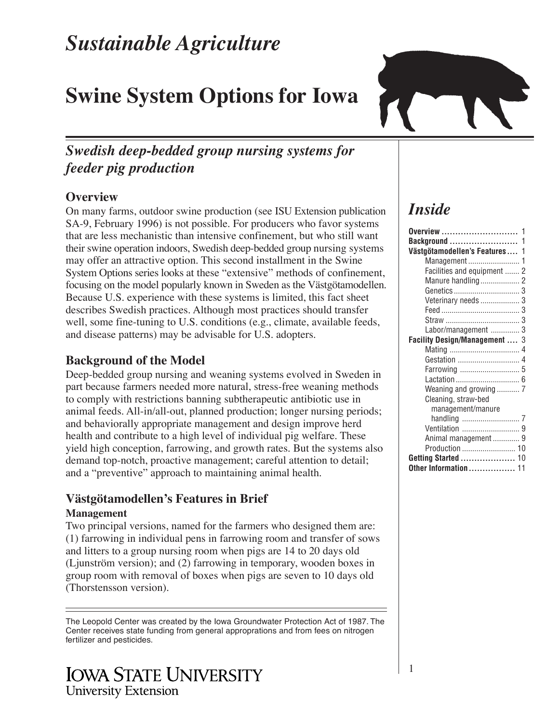# *Sustainable Agriculture*

# **Swine System Options for Iowa**

# *Swedish deep-bedded group nursing systems for feeder pig production*

# **Overview**

On many farms, outdoor swine production (see ISU Extension publication SA-9, February 1996) is not possible. For producers who favor systems that are less mechanistic than intensive confinement, but who still want their swine operation indoors, Swedish deep-bedded group nursing systems may offer an attractive option. This second installment in the Swine System Options series looks at these "extensive" methods of confinement, focusing on the model popularly known in Sweden as the Västgötamodellen. Because U.S. experience with these systems is limited, this fact sheet describes Swedish practices. Although most practices should transfer well, some fine-tuning to U.S. conditions (e.g., climate, available feeds, and disease patterns) may be advisable for U.S. adopters.

# **Background of the Model**

Deep-bedded group nursing and weaning systems evolved in Sweden in part because farmers needed more natural, stress-free weaning methods to comply with restrictions banning subtherapeutic antibiotic use in animal feeds. All-in/all-out, planned production; longer nursing periods; and behaviorally appropriate management and design improve herd health and contribute to a high level of individual pig welfare. These yield high conception, farrowing, and growth rates. But the systems also demand top-notch, proactive management; careful attention to detail; and a "preventive" approach to maintaining animal health.

# **Västgötamodellen's Features in Brief**

#### **Management**

Two principal versions, named for the farmers who designed them are: (1) farrowing in individual pens in farrowing room and transfer of sows and litters to a group nursing room when pigs are 14 to 20 days old (Ljunström version); and (2) farrowing in temporary, wooden boxes in group room with removal of boxes when pigs are seven to 10 days old (Thorstensson version).

The Leopold Center was created by the Iowa Groundwater Protection Act of 1987. The Center receives state funding from general approprations and from fees on nitrogen fertilizer and pesticides.

# **IOWA STATE UNIVERSITY University Extension**



# *Inside*

| Västgötamodellen's Features 1 |  |
|-------------------------------|--|
|                               |  |
| Facilities and equipment  2   |  |
|                               |  |
|                               |  |
| Veterinary needs  3           |  |
|                               |  |
|                               |  |
| Labor/management  3           |  |
| Facility Design/Management  3 |  |
|                               |  |
|                               |  |
|                               |  |
|                               |  |
|                               |  |
| Cleaning, straw-bed           |  |
| management/manure             |  |
|                               |  |
|                               |  |
| Animal management  9          |  |
| Production  10                |  |
| Getting Started  10           |  |
| Other Information  11         |  |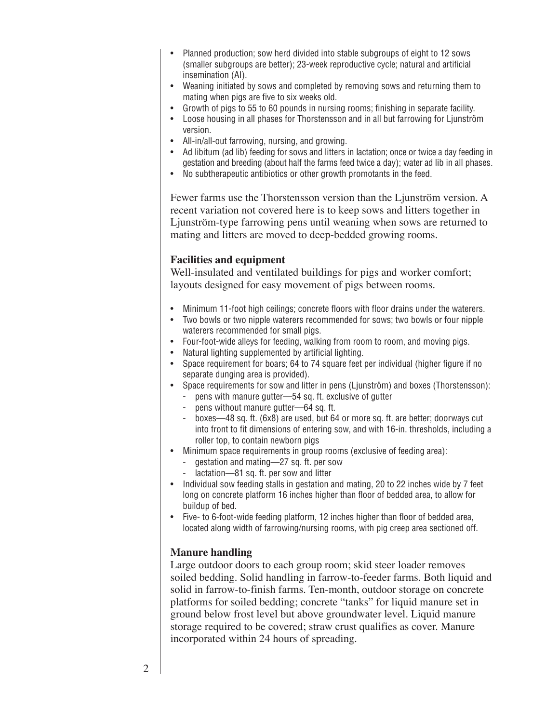- Planned production; sow herd divided into stable subgroups of eight to 12 sows (smaller subgroups are better); 23-week reproductive cycle; natural and artificial insemination (AI).
- Weaning initiated by sows and completed by removing sows and returning them to mating when pigs are five to six weeks old.
- Growth of pigs to 55 to 60 pounds in nursing rooms; finishing in separate facility.
- Loose housing in all phases for Thorstensson and in all but farrowing for Ljunström version.
- All-in/all-out farrowing, nursing, and growing.
- Ad libitum (ad lib) feeding for sows and litters in lactation; once or twice a day feeding in gestation and breeding (about half the farms feed twice a day); water ad lib in all phases.
- No subtherapeutic antibiotics or other growth promotants in the feed.

Fewer farms use the Thorstensson version than the Ljunström version. A recent variation not covered here is to keep sows and litters together in Ljunström-type farrowing pens until weaning when sows are returned to mating and litters are moved to deep-bedded growing rooms.

#### **Facilities and equipment**

Well-insulated and ventilated buildings for pigs and worker comfort; layouts designed for easy movement of pigs between rooms.

- Minimum 11-foot high ceilings; concrete floors with floor drains under the waterers.
- Two bowls or two nipple waterers recommended for sows; two bowls or four nipple waterers recommended for small pigs.
- Four-foot-wide alleys for feeding, walking from room to room, and moving pigs.
- Natural lighting supplemented by artificial lighting.
- Space requirement for boars; 64 to 74 square feet per individual (higher figure if no separate dunging area is provided).
- Space requirements for sow and litter in pens (Ljunström) and boxes (Thorstensson):
	- pens with manure gutter—54 sq. ft. exclusive of gutter
	- pens without manure gutter—64 sq. ft.
	- boxes—48 sq. ft. (6x8) are used, but 64 or more sq. ft. are better; doorways cut into front to fit dimensions of entering sow, and with 16-in. thresholds, including a roller top, to contain newborn pigs
- Minimum space requirements in group rooms (exclusive of feeding area):
	- gestation and mating—27 sq. ft. per sow
	- lactation—81 sq. ft. per sow and litter
- Individual sow feeding stalls in gestation and mating, 20 to 22 inches wide by 7 feet long on concrete platform 16 inches higher than floor of bedded area, to allow for buildup of bed.
- Five- to 6-foot-wide feeding platform, 12 inches higher than floor of bedded area, located along width of farrowing/nursing rooms, with pig creep area sectioned off.

#### **Manure handling**

Large outdoor doors to each group room; skid steer loader removes soiled bedding. Solid handling in farrow-to-feeder farms. Both liquid and solid in farrow-to-finish farms. Ten-month, outdoor storage on concrete platforms for soiled bedding; concrete "tanks" for liquid manure set in ground below frost level but above groundwater level. Liquid manure storage required to be covered; straw crust qualifies as cover. Manure incorporated within 24 hours of spreading.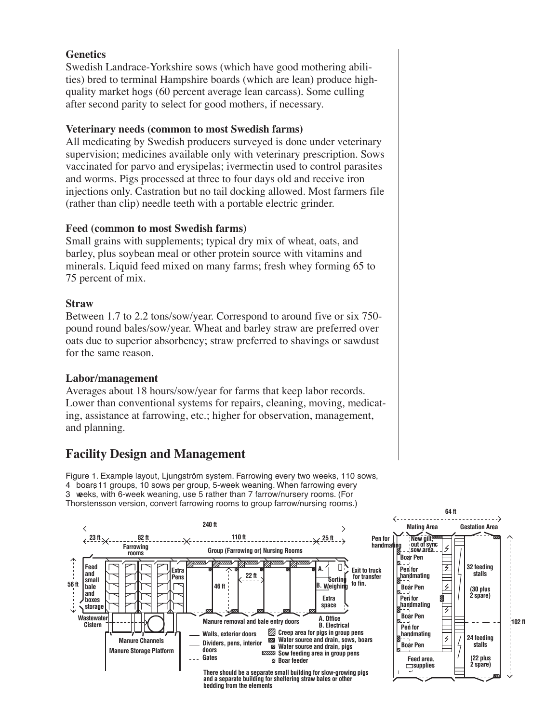#### **Genetics**

Swedish Landrace-Yorkshire sows (which have good mothering abilities) bred to terminal Hampshire boards (which are lean) produce highquality market hogs (60 percent average lean carcass). Some culling after second parity to select for good mothers, if necessary.

#### **Veterinary needs (common to most Swedish farms)**

All medicating by Swedish producers surveyed is done under veterinary supervision; medicines available only with veterinary prescription. Sows vaccinated for parvo and erysipelas; ivermectin used to control parasites and worms. Pigs processed at three to four days old and receive iron injections only. Castration but no tail docking allowed. Most farmers file (rather than clip) needle teeth with a portable electric grinder.

#### **Feed (common to most Swedish farms)**

Small grains with supplements; typical dry mix of wheat, oats, and barley, plus soybean meal or other protein source with vitamins and minerals. Liquid feed mixed on many farms; fresh whey forming 65 to 75 percent of mix.

#### **Straw**

Between 1.7 to 2.2 tons/sow/year. Correspond to around five or six 750 pound round bales/sow/year. Wheat and barley straw are preferred over oats due to superior absorbency; straw preferred to shavings or sawdust for the same reason.

#### **Labor/management**

Averages about 18 hours/sow/year for farms that keep labor records. Lower than conventional systems for repairs, cleaning, moving, medicating, assistance at farrowing, etc.; higher for observation, management, and planning.

### **Facility Design and Management**

Figure 1. Example layout, Ljungström system. Farrowing every two weeks, 110 sows, 4boars, 11 groups, 10 sows per group, 5-week weaning. When farrowing every 3weeks, with 6-week weaning, use 5 rather than 7 farrow/nursery rooms. (For Thorstensson version, convert farrowing rooms to group farrow/nursing rooms.)

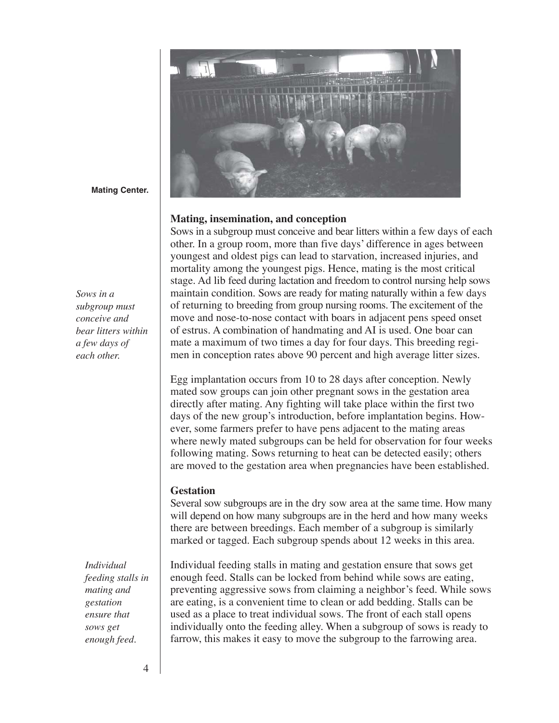

**Mating Center.**

*Sows in a subgroup must conceive and bear litters within a few days of each other.*

> *Individual feeding stalls in mating and gestation ensure that sows get enough feed.*

**Mating, insemination, and conception**

Sows in a subgroup must conceive and bear litters within a few days of each other. In a group room, more than five days' difference in ages between youngest and oldest pigs can lead to starvation, increased injuries, and mortality among the youngest pigs. Hence, mating is the most critical stage. Ad lib feed during lactation and freedom to control nursing help sows maintain condition. Sows are ready for mating naturally within a few days of returning to breeding from group nursing rooms. The excitement of the move and nose-to-nose contact with boars in adjacent pens speed onset of estrus. A combination of handmating and AI is used. One boar can mate a maximum of two times a day for four days. This breeding regimen in conception rates above 90 percent and high average litter sizes.

Egg implantation occurs from 10 to 28 days after conception. Newly mated sow groups can join other pregnant sows in the gestation area directly after mating. Any fighting will take place within the first two days of the new group's introduction, before implantation begins. However, some farmers prefer to have pens adjacent to the mating areas where newly mated subgroups can be held for observation for four weeks following mating. Sows returning to heat can be detected easily; others are moved to the gestation area when pregnancies have been established.

#### **Gestation**

Several sow subgroups are in the dry sow area at the same time. How many will depend on how many subgroups are in the herd and how many weeks there are between breedings. Each member of a subgroup is similarly marked or tagged. Each subgroup spends about 12 weeks in this area.

Individual feeding stalls in mating and gestation ensure that sows get enough feed. Stalls can be locked from behind while sows are eating, preventing aggressive sows from claiming a neighbor's feed. While sows are eating, is a convenient time to clean or add bedding. Stalls can be used as a place to treat individual sows. The front of each stall opens individually onto the feeding alley. When a subgroup of sows is ready to farrow, this makes it easy to move the subgroup to the farrowing area.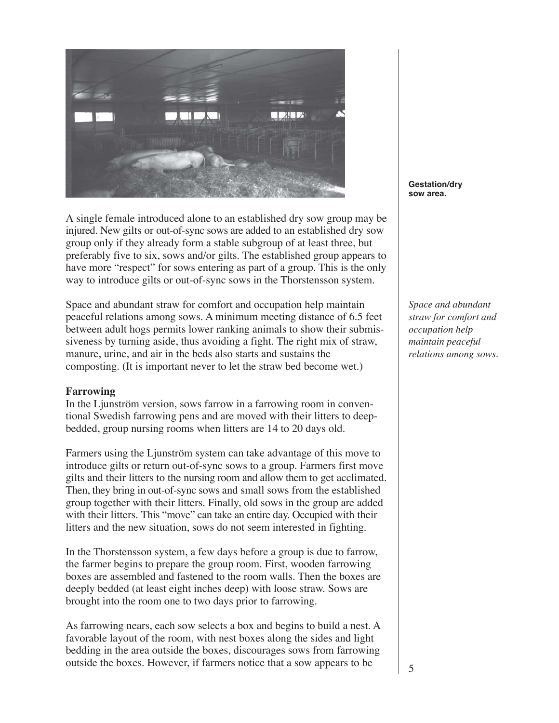

A single female introduced alone to an established dry sow group may be injured. New gilts or out-of-sync sows are added to an established dry sow group only if they already form a stable subgroup of at least three, but preferably five to six, sows and/or gilts. The established group appears to have more "respect" for sows entering as part of a group. This is the only way to introduce gilts or out-of-sync sows in the Thorstensson system.

Space and abundant straw for comfort and occupation help maintain peaceful relations among sows. A minimum meeting distance of 6.5 feet between adult hogs permits lower ranking animals to show their submissiveness by turning aside, thus avoiding a fight. The right mix of straw, manure, urine, and air in the beds also starts and sustains the composting. (It is important never to let the straw bed become wet.)

#### **Farrowing**

In the Ljunström version, sows farrow in a farrowing room in conventional Swedish farrowing pens and are moved with their litters to deepbedded, group nursing rooms when litters are 14 to 20 days old.

Farmers using the Ljunström system can take advantage of this move to introduce gilts or return out-of-sync sows to a group. Farmers first move gilts and their litters to the nursing room and allow them to get acclimated. Then, they bring in out-of-sync sows and small sows from the established group together with their litters. Finally, old sows in the group are added with their litters. This "move" can take an entire day. Occupied with their litters and the new situation, sows do not seem interested in fighting.

In the Thorstensson system, a few days before a group is due to farrow, the farmer begins to prepare the group room. First, wooden farrowing boxes are assembled and fastened to the room walls. Then the boxes are deeply bedded (at least eight inches deep) with loose straw. Sows are brought into the room one to two days prior to farrowing.

As farrowing nears, each sow selects a box and begins to build a nest. A favorable layout of the room, with nest boxes along the sides and light bedding in the area outside the boxes, discourages sows from farrowing outside the boxes. However, if farmers notice that a sow appears to be

**Gestation/dry sow area.**

*Space and abundant straw for comfort and occupation help maintain peaceful relations among sows.*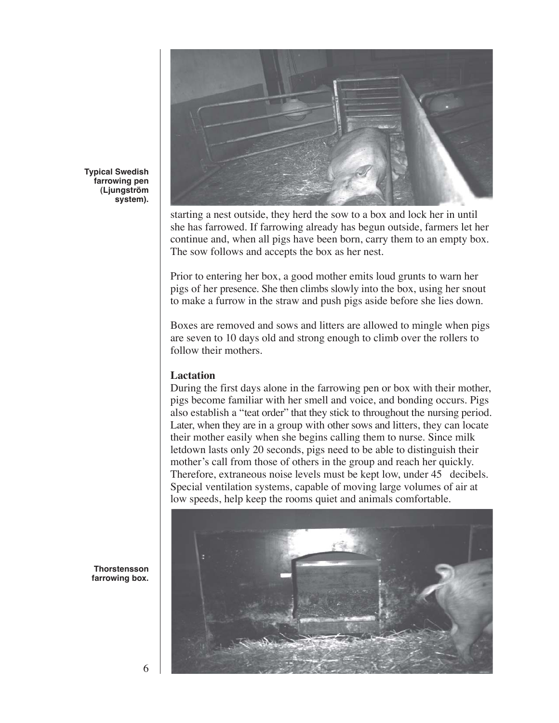

**Typical Swedish farrowing pen (Ljungström system).**

> starting a nest outside, they herd the sow to a box and lock her in until she has farrowed. If farrowing already has begun outside, farmers let her continue and, when all pigs have been born, carry them to an empty box. The sow follows and accepts the box as her nest.

Prior to entering her box, a good mother emits loud grunts to warn her pigs of her presence. She then climbs slowly into the box, using her snout to make a furrow in the straw and push pigs aside before she lies down.

Boxes are removed and sows and litters are allowed to mingle when pigs are seven to 10 days old and strong enough to climb over the rollers to follow their mothers.

#### **Lactation**

During the first days alone in the farrowing pen or box with their mother, pigs become familiar with her smell and voice, and bonding occurs. Pigs also establish a "teat order" that they stick to throughout the nursing period. Later, when they are in a group with other sows and litters, they can locate their mother easily when she begins calling them to nurse. Since milk letdown lasts only 20 seconds, pigs need to be able to distinguish their mother's call from those of others in the group and reach her quickly. Therefore, extraneous noise levels must be kept low, under 45 decibels. Special ventilation systems, capable of moving large volumes of air at low speeds, help keep the rooms quiet and animals comfortable.



**Thorstensson farrowing box.**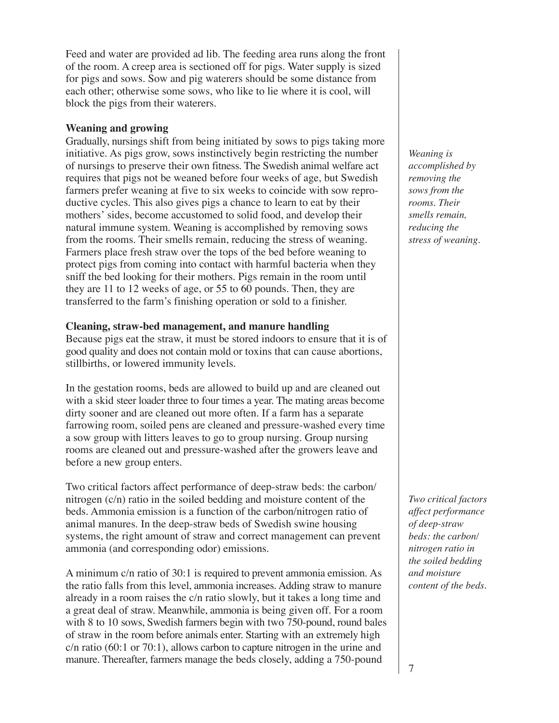Feed and water are provided ad lib. The feeding area runs along the front of the room. A creep area is sectioned off for pigs. Water supply is sized for pigs and sows. Sow and pig waterers should be some distance from each other; otherwise some sows, who like to lie where it is cool, will block the pigs from their waterers.

#### **Weaning and growing**

Gradually, nursings shift from being initiated by sows to pigs taking more initiative. As pigs grow, sows instinctively begin restricting the number of nursings to preserve their own fitness. The Swedish animal welfare act requires that pigs not be weaned before four weeks of age, but Swedish farmers prefer weaning at five to six weeks to coincide with sow reproductive cycles. This also gives pigs a chance to learn to eat by their mothers' sides, become accustomed to solid food, and develop their natural immune system. Weaning is accomplished by removing sows from the rooms. Their smells remain, reducing the stress of weaning. Farmers place fresh straw over the tops of the bed before weaning to protect pigs from coming into contact with harmful bacteria when they sniff the bed looking for their mothers. Pigs remain in the room until they are 11 to 12 weeks of age, or 55 to 60 pounds. Then, they are transferred to the farm's finishing operation or sold to a finisher.

#### **Cleaning, straw-bed management, and manure handling**

Because pigs eat the straw, it must be stored indoors to ensure that it is of good quality and does not contain mold or toxins that can cause abortions, stillbirths, or lowered immunity levels.

In the gestation rooms, beds are allowed to build up and are cleaned out with a skid steer loader three to four times a year. The mating areas become dirty sooner and are cleaned out more often. If a farm has a separate farrowing room, soiled pens are cleaned and pressure-washed every time a sow group with litters leaves to go to group nursing. Group nursing rooms are cleaned out and pressure-washed after the growers leave and before a new group enters.

Two critical factors affect performance of deep-straw beds: the carbon/ nitrogen (c/n) ratio in the soiled bedding and moisture content of the beds. Ammonia emission is a function of the carbon/nitrogen ratio of animal manures. In the deep-straw beds of Swedish swine housing systems, the right amount of straw and correct management can prevent ammonia (and corresponding odor) emissions.

A minimum c/n ratio of 30:1 is required to prevent ammonia emission. As the ratio falls from this level, ammonia increases. Adding straw to manure already in a room raises the c/n ratio slowly, but it takes a long time and a great deal of straw. Meanwhile, ammonia is being given off. For a room with 8 to 10 sows, Swedish farmers begin with two 750-pound, round bales of straw in the room before animals enter. Starting with an extremely high c/n ratio (60:1 or 70:1), allows carbon to capture nitrogen in the urine and manure. Thereafter, farmers manage the beds closely, adding a 750-pound

*Weaning is accomplished by removing the sows from the rooms. Their smells remain, reducing the stress of weaning.*

*Two critical factors affect performance of deep-straw beds: the carbon/ nitrogen ratio in the soiled bedding and moisture content of the beds.*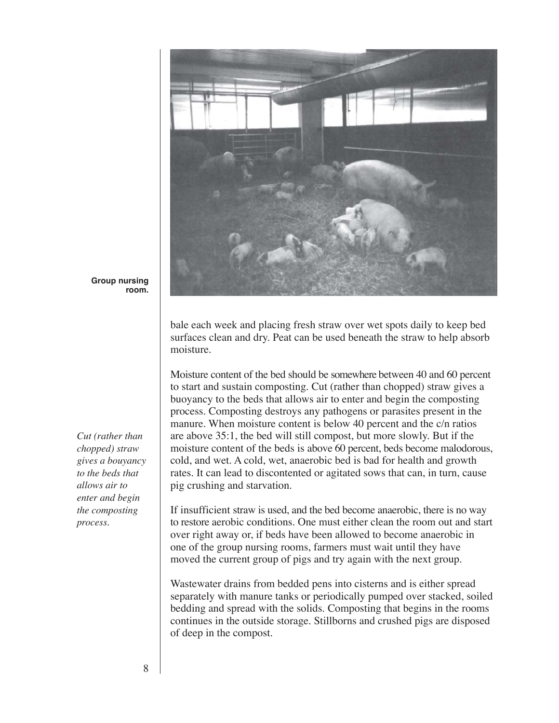

**Group nursing room.**

*Cut (rather than chopped) straw gives a bouyancy to the beds that allows air to enter and begin the composting process.*

bale each week and placing fresh straw over wet spots daily to keep bed surfaces clean and dry. Peat can be used beneath the straw to help absorb moisture.

Moisture content of the bed should be somewhere between 40 and 60 percent to start and sustain composting. Cut (rather than chopped) straw gives a buoyancy to the beds that allows air to enter and begin the composting process. Composting destroys any pathogens or parasites present in the manure. When moisture content is below 40 percent and the c/n ratios are above 35:1, the bed will still compost, but more slowly. But if the moisture content of the beds is above 60 percent, beds become malodorous, cold, and wet. A cold, wet, anaerobic bed is bad for health and growth rates. It can lead to discontented or agitated sows that can, in turn, cause pig crushing and starvation.

If insufficient straw is used, and the bed become anaerobic, there is no way to restore aerobic conditions. One must either clean the room out and start over right away or, if beds have been allowed to become anaerobic in one of the group nursing rooms, farmers must wait until they have moved the current group of pigs and try again with the next group.

Wastewater drains from bedded pens into cisterns and is either spread separately with manure tanks or periodically pumped over stacked, soiled bedding and spread with the solids. Composting that begins in the rooms continues in the outside storage. Stillborns and crushed pigs are disposed of deep in the compost.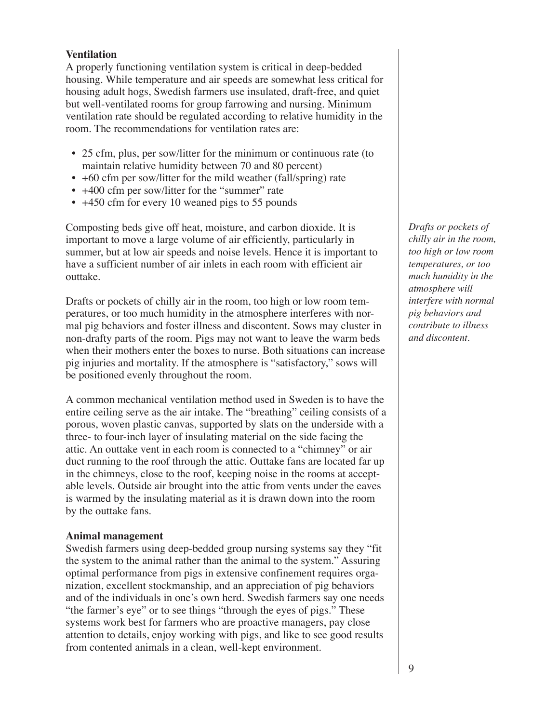#### **Ventilation**

A properly functioning ventilation system is critical in deep-bedded housing. While temperature and air speeds are somewhat less critical for housing adult hogs, Swedish farmers use insulated, draft-free, and quiet but well-ventilated rooms for group farrowing and nursing. Minimum ventilation rate should be regulated according to relative humidity in the room. The recommendations for ventilation rates are:

- 25 cfm, plus, per sow/litter for the minimum or continuous rate (to maintain relative humidity between 70 and 80 percent)
- +60 cfm per sow/litter for the mild weather (fall/spring) rate
- +400 cfm per sow/litter for the "summer" rate
- +450 cfm for every 10 weaned pigs to 55 pounds

Composting beds give off heat, moisture, and carbon dioxide. It is important to move a large volume of air efficiently, particularly in summer, but at low air speeds and noise levels. Hence it is important to have a sufficient number of air inlets in each room with efficient air outtake.

Drafts or pockets of chilly air in the room, too high or low room temperatures, or too much humidity in the atmosphere interferes with normal pig behaviors and foster illness and discontent. Sows may cluster in non-drafty parts of the room. Pigs may not want to leave the warm beds when their mothers enter the boxes to nurse. Both situations can increase pig injuries and mortality. If the atmosphere is "satisfactory," sows will be positioned evenly throughout the room.

A common mechanical ventilation method used in Sweden is to have the entire ceiling serve as the air intake. The "breathing" ceiling consists of a porous, woven plastic canvas, supported by slats on the underside with a three- to four-inch layer of insulating material on the side facing the attic. An outtake vent in each room is connected to a "chimney" or air duct running to the roof through the attic. Outtake fans are located far up in the chimneys, close to the roof, keeping noise in the rooms at acceptable levels. Outside air brought into the attic from vents under the eaves is warmed by the insulating material as it is drawn down into the room by the outtake fans.

#### **Animal management**

Swedish farmers using deep-bedded group nursing systems say they "fit the system to the animal rather than the animal to the system." Assuring optimal performance from pigs in extensive confinement requires organization, excellent stockmanship, and an appreciation of pig behaviors and of the individuals in one's own herd. Swedish farmers say one needs "the farmer's eye" or to see things "through the eyes of pigs." These systems work best for farmers who are proactive managers, pay close attention to details, enjoy working with pigs, and like to see good results from contented animals in a clean, well-kept environment.

*Drafts or pockets of chilly air in the room, too high or low room temperatures, or too much humidity in the atmosphere will interfere with normal pig behaviors and contribute to illness and discontent.*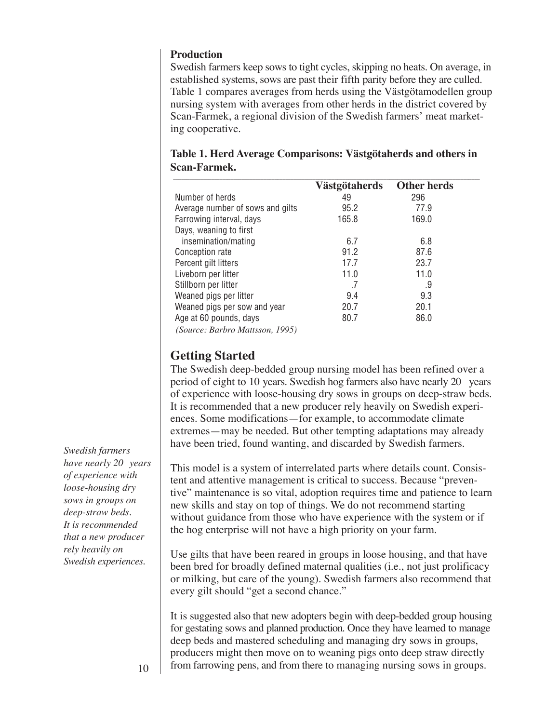#### **Production**

Swedish farmers keep sows to tight cycles, skipping no heats. On average, in established systems, sows are past their fifth parity before they are culled. Table 1 compares averages from herds using the Västgötamodellen group nursing system with averages from other herds in the district covered by Scan-Farmek, a regional division of the Swedish farmers' meat marketing cooperative.

|                                                                           | Västgötaherds | <b>Other herds</b> |
|---------------------------------------------------------------------------|---------------|--------------------|
| Number of herds                                                           | 49            | 296                |
| Average number of sows and gilts                                          | 95.2          | 77.9               |
| Farrowing interval, days                                                  | 165.8         | 169.0              |
| Days, weaning to first                                                    |               |                    |
| insemination/mating                                                       | 6.7           | 6.8                |
| Conception rate                                                           | 91.2          | 87.6               |
| Percent gilt litters                                                      | 17.7          | 23.7               |
| Liveborn per litter                                                       | 11.0          | 11.0               |
| Stillborn per litter                                                      | .7            | .9                 |
| Weaned pigs per litter                                                    | 9.4           | 9.3                |
| Weaned pigs per sow and year                                              | 20.7          | 20.1               |
| Age at 60 pounds, days                                                    | 80.7          | 86.0               |
| 100F<br>$\mathbf{D}$ $\mathbf{I}$ $\mathbf{M}$ $\mathbf{U}$<br>$\sqrt{2}$ |               |                    |

**Table 1. Herd Average Comparisons: Västgötaherds and others in Scan-Farmek.**

 *(Source: Barbro Mattsson, 1995)*

# **Getting Started**

The Swedish deep-bedded group nursing model has been refined over a period of eight to 10 years. Swedish hog farmers also have nearly 20 years of experience with loose-housing dry sows in groups on deep-straw beds. It is recommended that a new producer rely heavily on Swedish experiences. Some modifications—for example, to accommodate climate extremes—may be needed. But other tempting adaptations may already have been tried, found wanting, and discarded by Swedish farmers.

This model is a system of interrelated parts where details count. Consistent and attentive management is critical to success. Because "preventive" maintenance is so vital, adoption requires time and patience to learn new skills and stay on top of things. We do not recommend starting without guidance from those who have experience with the system or if the hog enterprise will not have a high priority on your farm.

Use gilts that have been reared in groups in loose housing, and that have been bred for broadly defined maternal qualities (i.e., not just prolificacy or milking, but care of the young). Swedish farmers also recommend that every gilt should "get a second chance."

It is suggested also that new adopters begin with deep-bedded group housing for gestating sows and planned production. Once they have learned to manage deep beds and mastered scheduling and managing dry sows in groups, producers might then move on to weaning pigs onto deep straw directly from farrowing pens, and from there to managing nursing sows in groups.

*Swedish farmers* have nearly 20 years *of experience with loose-housing dry sows in groups on deep-straw beds. It is recommended that a new producer rely heavily on Swedish experiences.*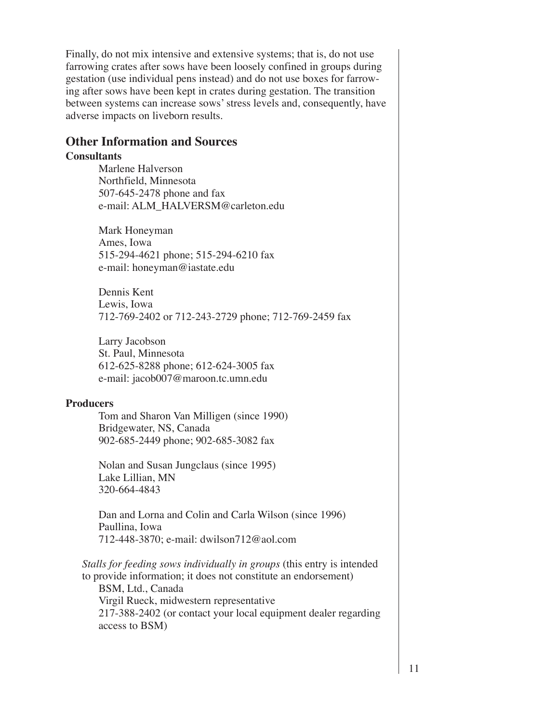Finally, do not mix intensive and extensive systems; that is, do not use farrowing crates after sows have been loosely confined in groups during gestation (use individual pens instead) and do not use boxes for farrowing after sows have been kept in crates during gestation. The transition between systems can increase sows' stress levels and, consequently, have adverse impacts on liveborn results.

### **Other Information and Sources**

#### **Consultants**

Marlene Halverson Northfield, Minnesota 507-645-2478 phone and fax e-mail: ALM\_HALVERSM@carleton.edu

Mark Honeyman Ames, Iowa 515-294-4621 phone; 515-294-6210 fax e-mail: honeyman@iastate.edu

Dennis Kent Lewis, Iowa 712-769-2402 or 712-243-2729 phone; 712-769-2459 fax

Larry Jacobson St. Paul, Minnesota 612-625-8288 phone; 612-624-3005 fax e-mail: jacob007@maroon.tc.umn.edu

#### **Producers**

Tom and Sharon Van Milligen (since 1990) Bridgewater, NS, Canada 902-685-2449 phone; 902-685-3082 fax

Nolan and Susan Jungclaus (since 1995) Lake Lillian, MN 320-664-4843

Dan and Lorna and Colin and Carla Wilson (since 1996) Paullina, Iowa 712-448-3870; e-mail: dwilson712@aol.com

*Stalls for feeding sows individually in groups* (this entry is intended to provide information; it does not constitute an endorsement) BSM, Ltd., Canada Virgil Rueck, midwestern representative 217-388-2402 (or contact your local equipment dealer regarding access to BSM)